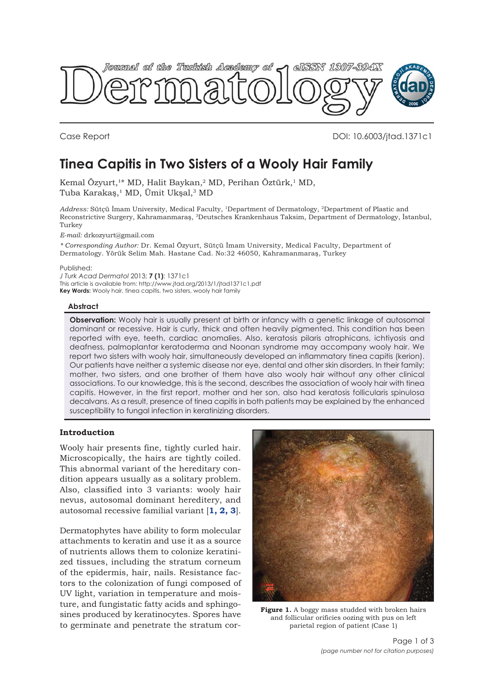<span id="page-0-0"></span>

Case Report DOI: 10.6003/jtad.1371c1

# **Tinea Capitis in Two Sisters of a Wooly Hair Family**

Kemal Özyurt,<sup>1\*</sup> MD, Halit Baykan,<sup>2</sup> MD, Perihan Öztürk,<sup>1</sup> MD, Tuba Karakaş,<sup>1</sup> MD, Ümit Ukşal,<sup>3</sup> MD

*Address:* Sütçü İmam University, Medical Faculty, 1Department of Dermatology, 2Department of Plastic and Reconstrictive Surgery, Kahramanmaraş, 3Deutsches Krankenhaus Taksim, Department of Dermatology, İstanbul, Turkey

*E-mail:* drkozyurt@gmail.com

*\* Corresponding Author:* Dr. Kemal Özyurt, Sütçü İmam University, Medical Faculty, Department of Dermatology. Yörük Selim Mah. Hastane Cad. No:32 46050, Kahramanmaraş, Turkey

Published:

*J Turk Acad Dermatol* 2013; **7 (1)**: 1371c1 This article is available from: http://www.jtad.org/2013/1/jtad1371c1.pdf **Key Words:** Wooly hair, tinea capitis, two sisters, wooly hair family

## **Abstract**

**Observation:** Wooly hair is usually present at birth or infancy with a genetic linkage of autosomal dominant or recessive. Hair is curly, thick and often heavily pigmented. This condition has been reported with eye, teeth, cardiac anomalies. Also, keratosis pilaris atrophicans, ichtiyosis and deafness, palmoplantar keratoderma and Noonan syndrome may accompany wooly hair. We report two sisters with wooly hair, simultaneously developed an inflammatory tinea capitis (kerion). Our patients have neither a systemic disease nor eye, dental and other skin disorders. In their family; mother, two sisters, and one brother of them have also wooly hair without any other clinical associations. To our knowledge, this is the second, describes the association of wooly hair with tinea capitis. However, in the first report, mother and her son, also had keratosis follicularis spinulosa decalvans. As a result, presence of tinea capitis in both patients may be explained by the enhanced susceptibility to fungal infection in keratinizing disorders.

## **Introduction**

Wooly hair presents fine, tightly curled hair. Microscopically, the hairs are tightly coiled. This abnormal variant of the hereditary condition appears usually as a solitary problem. Also, classified into 3 variants: wooly hair nevus, autosomal dominant hereditery, and autosomal recessive familial variant [**[1, 2, 3](#page-2-0)**].

Dermatophytes have ability to form molecular attachments to keratin and use it as a source of nutrients allows them to colonize keratinized tissues, including the stratum corneum of the epidermis, hair, nails. Resistance factors to the colonization of fungi composed of UV light, variation in temperature and moisture, and fungistatic fatty acids and sphingosines produced by keratinocytes. Spores have to germinate and penetrate the stratum cor-



Figure 1. A boggy mass studded with broken hairs and follicular orificies oozing with pus on left parietal region of patient (Case 1)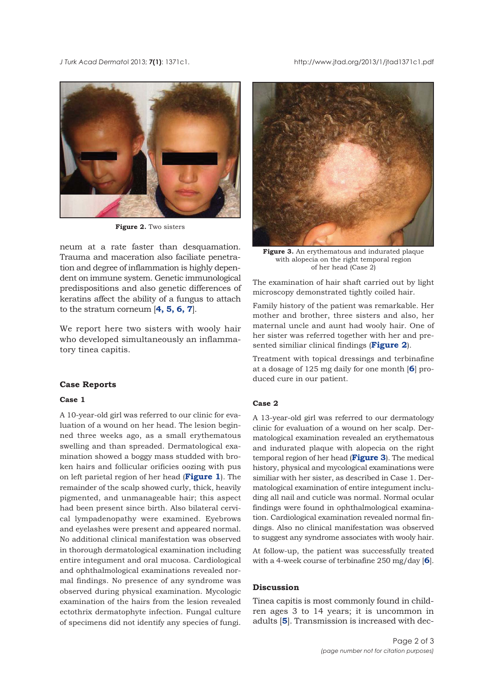*J Turk Acad Dermato*l 2013; **7(1)**: 1371c1. http://www.jtad.org/2013/1/jtad1371c1.pdf



**Figure 2.** Two sisters

neum at a rate faster than desquamation. Trauma and maceration also faciliate penetration and degree of inflammation is highly dependent on immune system. Genetic immunological predispositions and also genetic differences of keratins affect the ability of a fungus to attach to the stratum corneum [**[4, 5, 6, 7](#page-2-0)**].

We report here two sisters with wooly hair who developed simultaneously an inflammatory tinea capitis.

### **Case Reports**

#### **Case 1**

A 10-year-old girl was referred to our clinic for evaluation of a wound on her head. The lesion beginned three weeks ago, as a small erythematous swelling and than spreaded. Dermatological examination showed a boggy mass studded with broken hairs and follicular orificies oozing with pus on left parietal region of her head (**[Figure 1](#page-0-0)**). The remainder of the scalp showed curly, thick, heavily pigmented, and unmanageable hair; this aspect had been present since birth. Also bilateral cervical lympadenopathy were examined. Eyebrows and eyelashes were present and appeared normal. No additional clinical manifestation was observed in thorough dermatological examination including entire integument and oral mucosa. Cardiological and ophthalmological examinations revealed normal findings. No presence of any syndrome was observed during physical examination. Mycologic examination of the hairs from the lesion revealed ectothrix dermatophyte infection. Fungal culture of specimens did not identify any species of fungi.



**Figure 3.** An erythematous and indurated plaque with alopecia on the right temporal region of her head (Case 2)

The examination of hair shaft carried out by light microscopy demonstrated tightly coiled hair.

Family history of the patient was remarkable. Her mother and brother, three sisters and also, her maternal uncle and aunt had wooly hair. One of her sister was referred together with her and presented similiar clinical findings (**Figure 2**).

Treatment with topical dressings and terbinafine at a dosage of 125 mg daily for one month [**[6](#page-2-0)**] produced cure in our patient.

## **Case 2**

A 13-year-old girl was referred to our dermatology clinic for evaluation of a wound on her scalp. Dermatological examination revealed an erythematous and indurated plaque with alopecia on the right temporal region of her head (**Figure 3**). The medical history, physical and mycological examinations were similiar with her sister, as described in Case 1. Dermatological examination of entire integument including all nail and cuticle was normal. Normal ocular findings were found in ophthalmological examination. Cardiological examination revealed normal findings. Also no clinical manifestation was observed to suggest any syndrome associates with wooly hair.

At follow-up, the patient was successfully treated with a 4-week course of terbinafine 250 mg/day [**[6](#page-2-0)**].

# **Discussion**

Tinea capitis is most commonly found in children ages 3 to 14 years; it is uncommon in adults [**[5](#page-2-0)**]. Transmission is increased with dec